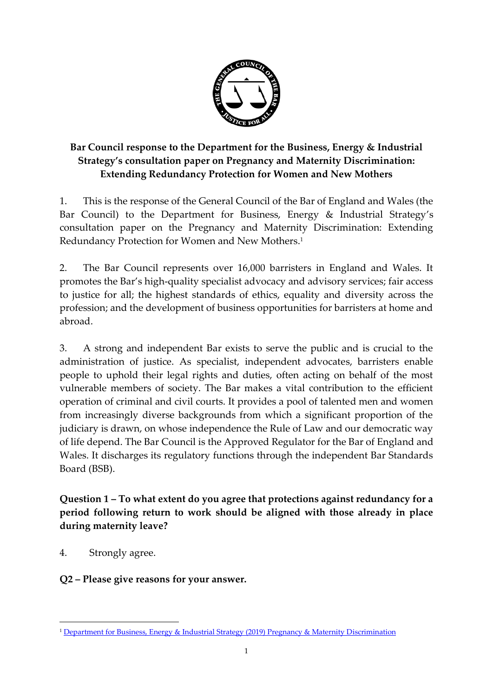

# **Bar Council response to the Department for the Business, Energy & Industrial Strategy's consultation paper on Pregnancy and Maternity Discrimination: Extending Redundancy Protection for Women and New Mothers**

1. This is the response of the General Council of the Bar of England and Wales (the Bar Council) to the Department for Business, Energy & Industrial Strategy's consultation paper on the Pregnancy and Maternity Discrimination: Extending Redundancy Protection for Women and New Mothers. 1

2. The Bar Council represents over 16,000 barristers in England and Wales. It promotes the Bar's high-quality specialist advocacy and advisory services; fair access to justice for all; the highest standards of ethics, equality and diversity across the profession; and the development of business opportunities for barristers at home and abroad.

3. A strong and independent Bar exists to serve the public and is crucial to the administration of justice. As specialist, independent advocates, barristers enable people to uphold their legal rights and duties, often acting on behalf of the most vulnerable members of society. The Bar makes a vital contribution to the efficient operation of criminal and civil courts. It provides a pool of talented men and women from increasingly diverse backgrounds from which a significant proportion of the judiciary is drawn, on whose independence the Rule of Law and our democratic way of life depend. The Bar Council is the Approved Regulator for the Bar of England and Wales. It discharges its regulatory functions through the independent Bar Standards Board (BSB).

**Question 1 – To what extent do you agree that protections against redundancy for a period following return to work should be aligned with those already in place during maternity leave?**

4. Strongly agree.

1

**Q2 – Please give reasons for your answer.**

<sup>1</sup> [Department for Business, Energy & Industrial Strategy \(2019\) Pregnancy & Maternity Discrimination](https://assets.publishing.service.gov.uk/government/uploads/system/uploads/attachment_data/file/773179/extending-redundancy-protection-for-pregnant-women.pdf)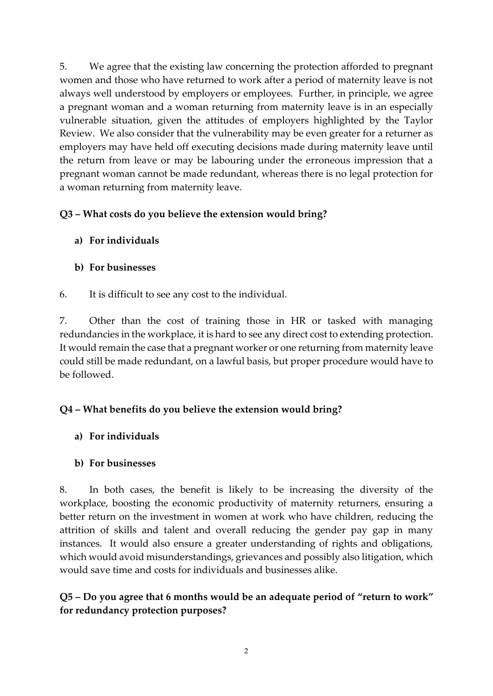5. We agree that the existing law concerning the protection afforded to pregnant women and those who have returned to work after a period of maternity leave is not always well understood by employers or employees. Further, in principle, we agree a pregnant woman and a woman returning from maternity leave is in an especially vulnerable situation, given the attitudes of employers highlighted by the Taylor Review. We also consider that the vulnerability may be even greater for a returner as employers may have held off executing decisions made during maternity leave until the return from leave or may be labouring under the erroneous impression that a pregnant woman cannot be made redundant, whereas there is no legal protection for a woman returning from maternity leave.

## **Q3 – What costs do you believe the extension would bring?**

- **a) For individuals**
- **b) For businesses**
- 6. It is difficult to see any cost to the individual.

7. Other than the cost of training those in HR or tasked with managing redundancies in the workplace, it is hard to see any direct cost to extending protection. It would remain the case that a pregnant worker or one returning from maternity leave could still be made redundant, on a lawful basis, but proper procedure would have to be followed.

# **Q4 – What benefits do you believe the extension would bring?**

**a) For individuals**

### **b) For businesses**

8. In both cases, the benefit is likely to be increasing the diversity of the workplace, boosting the economic productivity of maternity returners, ensuring a better return on the investment in women at work who have children, reducing the attrition of skills and talent and overall reducing the gender pay gap in many instances. It would also ensure a greater understanding of rights and obligations, which would avoid misunderstandings, grievances and possibly also litigation, which would save time and costs for individuals and businesses alike.

**Q5 – Do you agree that 6 months would be an adequate period of "return to work" for redundancy protection purposes?**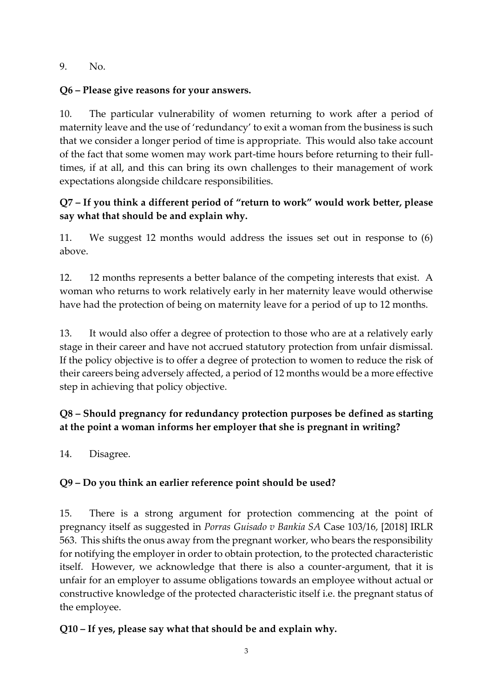9. No.

## **Q6 – Please give reasons for your answers.**

10. The particular vulnerability of women returning to work after a period of maternity leave and the use of 'redundancy' to exit a woman from the business is such that we consider a longer period of time is appropriate. This would also take account of the fact that some women may work part-time hours before returning to their fulltimes, if at all, and this can bring its own challenges to their management of work expectations alongside childcare responsibilities.

# **Q7 – If you think a different period of "return to work" would work better, please say what that should be and explain why.**

11. We suggest 12 months would address the issues set out in response to (6) above.

12. 12 months represents a better balance of the competing interests that exist. A woman who returns to work relatively early in her maternity leave would otherwise have had the protection of being on maternity leave for a period of up to 12 months.

13. It would also offer a degree of protection to those who are at a relatively early stage in their career and have not accrued statutory protection from unfair dismissal. If the policy objective is to offer a degree of protection to women to reduce the risk of their careers being adversely affected, a period of 12 months would be a more effective step in achieving that policy objective.

# **Q8 – Should pregnancy for redundancy protection purposes be defined as starting at the point a woman informs her employer that she is pregnant in writing?**

14. Disagree.

# **Q9 – Do you think an earlier reference point should be used?**

15. There is a strong argument for protection commencing at the point of pregnancy itself as suggested in *Porras Guisado v Bankia SA* Case 103/16, [2018] IRLR 563. This shifts the onus away from the pregnant worker, who bears the responsibility for notifying the employer in order to obtain protection, to the protected characteristic itself. However, we acknowledge that there is also a counter-argument, that it is unfair for an employer to assume obligations towards an employee without actual or constructive knowledge of the protected characteristic itself i.e. the pregnant status of the employee.

# **Q10 – If yes, please say what that should be and explain why.**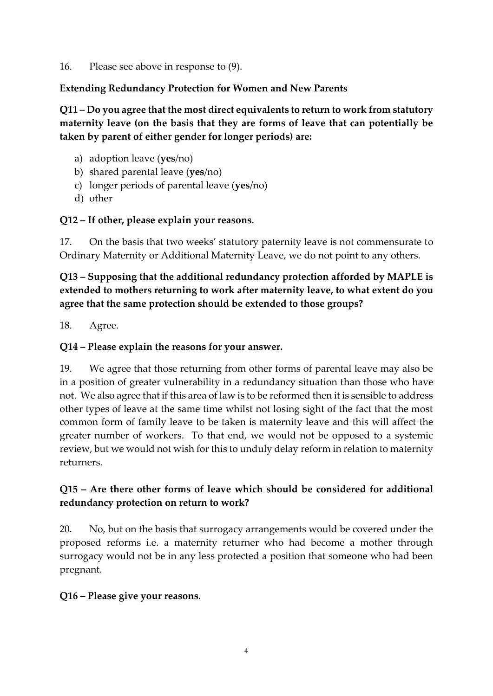16. Please see above in response to (9).

#### **Extending Redundancy Protection for Women and New Parents**

**Q11 – Do you agree that the most direct equivalents to return to work from statutory maternity leave (on the basis that they are forms of leave that can potentially be taken by parent of either gender for longer periods) are:**

- a) adoption leave (**yes**/no)
- b) shared parental leave (**yes**/no)
- c) longer periods of parental leave (**yes**/no)
- d) other

### **Q12 – If other, please explain your reasons.**

17. On the basis that two weeks' statutory paternity leave is not commensurate to Ordinary Maternity or Additional Maternity Leave, we do not point to any others.

**Q13 – Supposing that the additional redundancy protection afforded by MAPLE is extended to mothers returning to work after maternity leave, to what extent do you agree that the same protection should be extended to those groups?**

18. Agree.

### **Q14 – Please explain the reasons for your answer.**

19. We agree that those returning from other forms of parental leave may also be in a position of greater vulnerability in a redundancy situation than those who have not. We also agree that if this area of law is to be reformed then it is sensible to address other types of leave at the same time whilst not losing sight of the fact that the most common form of family leave to be taken is maternity leave and this will affect the greater number of workers. To that end, we would not be opposed to a systemic review, but we would not wish for this to unduly delay reform in relation to maternity returners.

### **Q15 – Are there other forms of leave which should be considered for additional redundancy protection on return to work?**

20. No, but on the basis that surrogacy arrangements would be covered under the proposed reforms i.e. a maternity returner who had become a mother through surrogacy would not be in any less protected a position that someone who had been pregnant.

#### **Q16 – Please give your reasons.**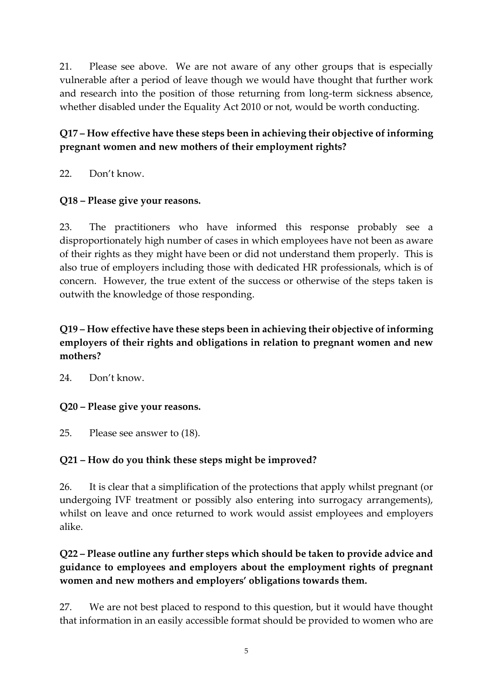21. Please see above. We are not aware of any other groups that is especially vulnerable after a period of leave though we would have thought that further work and research into the position of those returning from long-term sickness absence, whether disabled under the Equality Act 2010 or not, would be worth conducting.

## **Q17 – How effective have these steps been in achieving their objective of informing pregnant women and new mothers of their employment rights?**

22. Don't know.

### **Q18 – Please give your reasons.**

23. The practitioners who have informed this response probably see a disproportionately high number of cases in which employees have not been as aware of their rights as they might have been or did not understand them properly. This is also true of employers including those with dedicated HR professionals, which is of concern. However, the true extent of the success or otherwise of the steps taken is outwith the knowledge of those responding.

## **Q19 – How effective have these steps been in achieving their objective of informing employers of their rights and obligations in relation to pregnant women and new mothers?**

24. Don't know.

#### **Q20 – Please give your reasons.**

25. Please see answer to (18).

### **Q21 – How do you think these steps might be improved?**

26. It is clear that a simplification of the protections that apply whilst pregnant (or undergoing IVF treatment or possibly also entering into surrogacy arrangements), whilst on leave and once returned to work would assist employees and employers alike.

### **Q22 – Please outline any further steps which should be taken to provide advice and guidance to employees and employers about the employment rights of pregnant women and new mothers and employers' obligations towards them.**

27. We are not best placed to respond to this question, but it would have thought that information in an easily accessible format should be provided to women who are